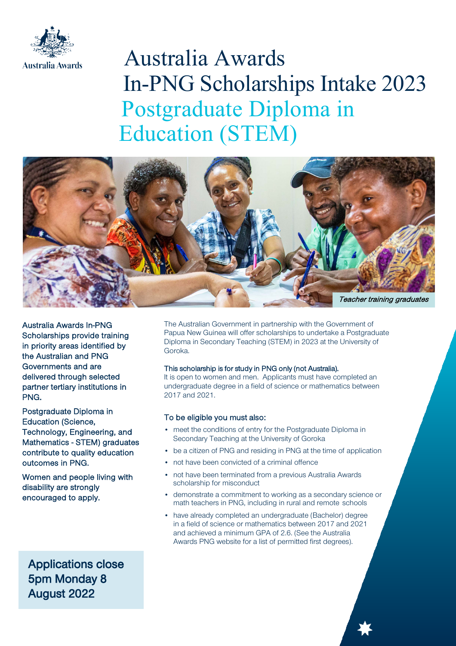

# Australia Awards In-PNG Scholarships Intake 2023 Postgraduate Diploma in Education (STEM)



Australia Awards In-PNG Scholarships provide training in priority areas identified by the Australian and PNG Governments and are delivered through selected partner tertiary institutions in PNG.

Postgraduate Diploma in Education (Science, Technology, Engineering, and Mathematics - STEM) graduates contribute to quality education outcomes in PNG.

Women and people living with disability are strongly encouraged to apply.

Applications close 5pm Monday 8 August 2022

The Australian Government in partnership with the Government of Papua New Guinea will offer scholarships to undertake a Postgraduate Diploma in Secondary Teaching (STEM) in 2023 at the University of Goroka.

## This scholarship is for study in PNG only (not Australia).

It is open to women and men. Applicants must have completed an undergraduate degree in a field of science or mathematics between 2017 and 2021.

## To be eligible you must also:

- meet the conditions of entry for the Postgraduate Diploma in Secondary Teaching at the University of Goroka
- be a citizen of PNG and residing in PNG at the time of application
- not have been convicted of a criminal offence
- not have been terminated from a previous Australia Awards scholarship for misconduct
- demonstrate a commitment to working as a secondary science or math teachers in PNG, including in rural and remote schools
- have already completed an undergraduate (Bachelor) degree in a field of science or mathematics between 2017 and 2021 and achieved a minimum GPA of 2.6. (See the Australia Awards PNG website for a list of permitted first degrees).